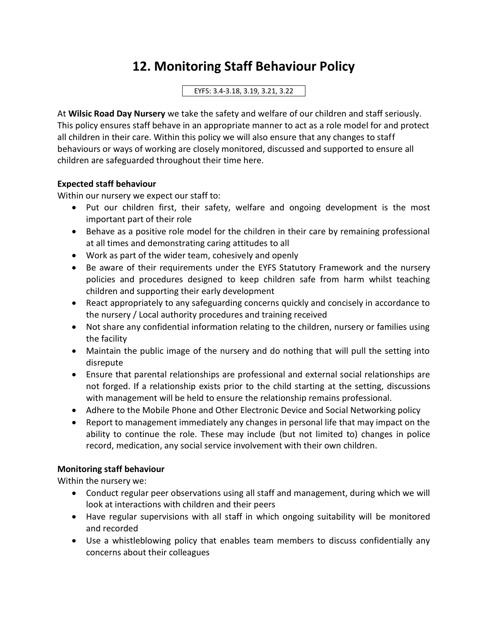# **12. Monitoring Staff Behaviour Policy**

### EYFS: 3.4-3.18, 3.19, 3.21, 3.22

At **Wilsic Road Day Nursery** we take the safety and welfare of our children and staff seriously. This policy ensures staff behave in an appropriate manner to act as a role model for and protect all children in their care. Within this policy we will also ensure that any changes to staff behaviours or ways of working are closely monitored, discussed and supported to ensure all children are safeguarded throughout their time here.

## **Expected staff behaviour**

Within our nursery we expect our staff to:

- Put our children first, their safety, welfare and ongoing development is the most important part of their role
- Behave as a positive role model for the children in their care by remaining professional at all times and demonstrating caring attitudes to all
- Work as part of the wider team, cohesively and openly
- Be aware of their requirements under the EYFS Statutory Framework and the nursery policies and procedures designed to keep children safe from harm whilst teaching children and supporting their early development
- React appropriately to any safeguarding concerns quickly and concisely in accordance to the nursery / Local authority procedures and training received
- Not share any confidential information relating to the children, nursery or families using the facility
- Maintain the public image of the nursery and do nothing that will pull the setting into disrepute
- Ensure that parental relationships are professional and external social relationships are not forged. If a relationship exists prior to the child starting at the setting, discussions with management will be held to ensure the relationship remains professional.
- Adhere to the Mobile Phone and Other Electronic Device and Social Networking policy
- Report to management immediately any changes in personal life that may impact on the ability to continue the role. These may include (but not limited to) changes in police record, medication, any social service involvement with their own children.

# **Monitoring staff behaviour**

Within the nursery we:

- Conduct regular peer observations using all staff and management, during which we will look at interactions with children and their peers
- Have regular supervisions with all staff in which ongoing suitability will be monitored and recorded
- Use a whistleblowing policy that enables team members to discuss confidentially any concerns about their colleagues